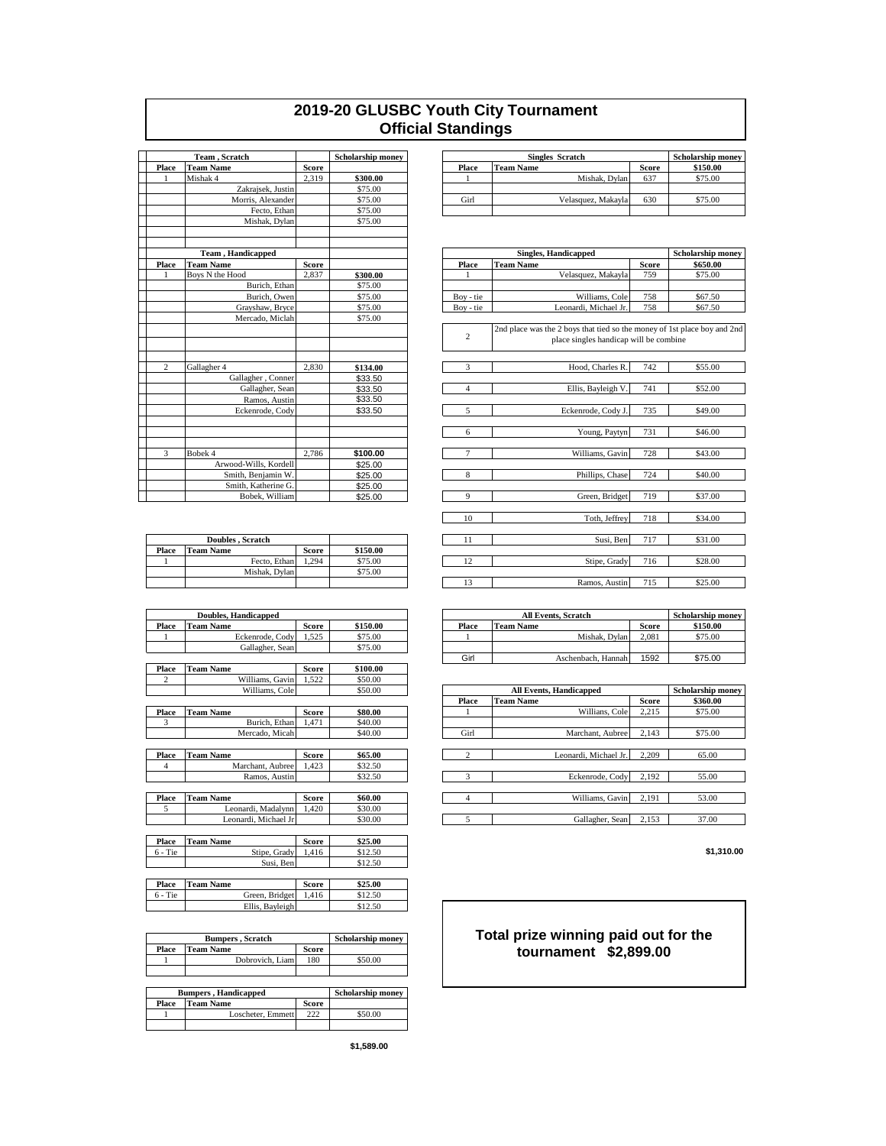## **2019-20 GLUSBC Youth City Tournament Official Standings**

|       | Team, Scratch |                           | <b>Scholarship money</b> |          | <b>Singles Scratch</b> |                            |
|-------|---------------|---------------------------|--------------------------|----------|------------------------|----------------------------|
| Place |               | <b>Team Name</b>          | <b>Score</b>             |          | Place                  | <b>Team Name</b>           |
| 1     |               | Mishak 4                  | 2,319                    | \$300.00 | 1                      | M                          |
|       |               | Zakrajsek, Justin         |                          | \$75.00  |                        |                            |
|       |               | Morris, Alexander         |                          | \$75.00  | Girl                   | Velasqu                    |
|       |               | Fecto, Ethan              |                          | \$75.00  |                        |                            |
|       |               | Mishak, Dylan             |                          | \$75.00  |                        |                            |
|       |               |                           |                          |          |                        |                            |
|       |               | <b>Team</b> , Handicapped |                          |          |                        | <b>Singles, Handicapp</b>  |
| Place |               | <b>Team Name</b>          | <b>Score</b>             |          | Place                  | <b>Team Name</b>           |
| 1     |               | Boys N the Hood           | 2,837                    | \$300.00 | 1                      | Velasqu                    |
|       |               | Burich, Ethan             |                          | \$75.00  |                        |                            |
|       |               | Burich, Owen              |                          | \$75.00  | Boy - tie              | W                          |
|       |               | Grayshaw, Bryce           |                          | \$75.00  | Boy - tie              | Leonardi                   |
|       |               | Mercado, Miclah           |                          | \$75.00  |                        |                            |
|       |               |                           |                          |          |                        | 2nd place was the 2 boys t |
|       |               |                           |                          |          | $\overline{c}$         | place sing                 |
| 2     |               | Gallagher 4               | 2,830                    | \$134.00 | 3                      | Hood                       |
|       |               | Gallagher, Conner         |                          | \$33.50  |                        |                            |
|       |               | Gallagher, Sean           |                          | \$33.50  | $\overline{4}$         | Ellis,                     |
|       |               | Ramos, Austin             |                          | \$33.50  |                        |                            |
|       |               | Eckenrode, Cody           |                          | \$33.50  | 5                      | Eckenr                     |
|       |               |                           |                          |          | 6                      | Y <sub>t</sub>             |
|       |               |                           |                          |          |                        |                            |
| 3     |               | Bobek 4                   | 2,786                    | \$100.00 | $\overline{7}$         | Wil                        |
|       |               | Arwood-Wills, Kordell     |                          | \$25.00  |                        |                            |
|       |               | Smith, Benjamin W.        |                          | \$25.00  | 8                      | Ph                         |
|       |               | Smith, Katherine G.       |                          | \$25.00  |                        |                            |
|       |               | Bobek, William            |                          | \$25.00  | 9                      | G <sub>1</sub>             |

|       | Doubles, Scratch |       |          |
|-------|------------------|-------|----------|
| Place | <b>Team Name</b> | Score | \$150.00 |
|       | Fecto, Ethan     | 1.294 | \$75.00  |
|       | Mishak. Dvlan    |       | \$75.00  |
|       |                  |       |          |

|                | <b>Doubles, Handicapped</b> |              |          |                | <b>All Events, Scratch</b>     |              |                          |  |
|----------------|-----------------------------|--------------|----------|----------------|--------------------------------|--------------|--------------------------|--|
| Place          | <b>Team Name</b>            | <b>Score</b> | \$150.00 | Place          | <b>Team Name</b>               | <b>Score</b> | \$150.00                 |  |
|                | Eckenrode, Cody             | 1,525        | \$75.00  |                | Mishak, Dylan                  | 2,081        | \$75.00                  |  |
|                | Gallagher, Sean             |              | \$75.00  |                |                                |              |                          |  |
|                |                             |              |          | Girl           | Aschenbach, Hannah             | 1592         | \$75.00                  |  |
| Place          | <b>Team Name</b>            | <b>Score</b> | \$100.00 |                |                                |              |                          |  |
| $\overline{c}$ | Williams, Gavin             | 1,522        | \$50.00  |                |                                |              |                          |  |
|                | Williams, Cole              |              | \$50.00  |                | <b>All Events, Handicapped</b> |              | <b>Scholarship money</b> |  |
|                |                             |              |          | Place          | <b>Team Name</b>               | <b>Score</b> | \$360.00                 |  |
| Place          | <b>Team Name</b>            | <b>Score</b> | \$80.00  |                | Willians, Cole                 | 2,215        | \$75.00                  |  |
| 3              | Burich, Ethan               | 1.471        | \$40.00  |                |                                |              |                          |  |
|                | Mercado, Micah              |              | \$40.00  | Girl           | Marchant, Aubree               | 2,143        | \$75.00                  |  |
|                |                             |              |          |                |                                |              |                          |  |
| Place          | <b>Team Name</b>            | <b>Score</b> | \$65.00  | $\overline{2}$ | Leonardi, Michael Jr.          | 2.209        | 65.00                    |  |
| $\overline{4}$ | Marchant, Aubree            | 1,423        | \$32.50  |                |                                |              |                          |  |
|                | Ramos, Austin               |              | \$32.50  | 3              | Eckenrode, Cody                | 2.192        | 55.00                    |  |
|                |                             |              |          |                |                                |              |                          |  |
| <b>Place</b>   | <b>Team Name</b>            | <b>Score</b> | \$60.00  | 4              | Williams, Gavin                | 2,191        | 53.00                    |  |
| 5              | Leonardi, Madalynn          | 1,420        | \$30.00  |                |                                |              |                          |  |
|                | Leonardi, Michael Jr        |              | \$30.00  | 5              | Gallagher, Sean                | 2,153        | 37.00                    |  |
|                |                             |              |          |                |                                |              |                          |  |
| Place          | <b>Team Name</b>            | <b>Score</b> | \$25.00  |                |                                |              |                          |  |
| $6 - Tie$      | Stipe, Grady                | 1,416        | \$12.50  |                |                                |              | \$1,310.00               |  |
|                | Susi, Ben                   |              | \$12.50  |                |                                |              |                          |  |
|                |                             |              |          |                |                                |              |                          |  |
| Place          | <b>Team Name</b>            | <b>Score</b> | \$25.00  |                |                                |              |                          |  |
|                | Green, Bridget              | 1,416        | \$12.50  |                |                                |              |                          |  |
| $6 - Tie$      |                             |              | \$12.50  |                |                                |              |                          |  |

|       | <b>Bumpers</b> , scratch    | Scholarship money |                          |  |  |  |
|-------|-----------------------------|-------------------|--------------------------|--|--|--|
| Place | Team Name                   | <b>Score</b>      |                          |  |  |  |
|       | Dobrovich, Liam             | 180               | \$50.00                  |  |  |  |
|       |                             |                   |                          |  |  |  |
|       |                             |                   |                          |  |  |  |
|       |                             |                   |                          |  |  |  |
|       | <b>Bumpers, Handicapped</b> |                   | <b>Scholarship money</b> |  |  |  |
| Place | <b>Team Name</b>            | <b>Score</b>      |                          |  |  |  |
|       | Loscheter, Emmett           | 222               | \$50.00                  |  |  |  |

| <b>Team</b> . Scratch |                   |       | <b>Scholarship money</b> |       | <b>Scholarship money</b> |                    |       |          |
|-----------------------|-------------------|-------|--------------------------|-------|--------------------------|--------------------|-------|----------|
| Place                 | <b>Team Name</b>  | Score |                          | Place | <b>Team Name</b>         |                    | Score | \$150.00 |
|                       | Mishak 4          | 2.319 | \$300.00                 |       |                          | Mishak. Dvlan      | 637   | \$75.00  |
|                       | Zakraisek. Justin |       | \$75.00                  |       |                          |                    |       |          |
|                       | Morris, Alexander |       | \$75.00                  | Girl  |                          | Velasquez, Makavla | 630   | \$75.00  |
|                       | Fecto, Ethan      |       | \$75.00                  |       |                          |                    |       |          |

|                | <b>Team</b> , Handicapped |              |          |                | <b>Singles, Handicapped</b>                                                                                        |              | <b>Scholarship money</b> |
|----------------|---------------------------|--------------|----------|----------------|--------------------------------------------------------------------------------------------------------------------|--------------|--------------------------|
| Place          | <b>Team Name</b>          | <b>Score</b> |          | Place          | <b>Team Name</b>                                                                                                   | <b>Score</b> | \$650.00                 |
|                | Boys N the Hood           | 2.837        | \$300.00 |                | Velasquez, Makayla                                                                                                 | 759          | \$75.00                  |
|                | Burich, Ethan             |              | \$75.00  |                |                                                                                                                    |              |                          |
|                | Burich, Owen              |              | \$75.00  | Boy - tie      | Williams, Cole                                                                                                     | 758          | \$67.50                  |
|                | Grayshaw, Bryce           |              | \$75.00  | Bov - tie      | Leonardi, Michael Jr.                                                                                              | 758          | \$67.50                  |
|                | Mercado, Miclah           |              | \$75.00  |                |                                                                                                                    |              |                          |
|                |                           |              |          | $\overline{2}$ | 2nd place was the 2 boys that tied so the money of 1st place boy and 2nd<br>place singles handicap will be combine |              |                          |
| 2              | Gallagher 4               | 2.830        | \$134.00 | 3              | Hood, Charles R.                                                                                                   | 742          | \$55.00                  |
|                | Gallagher, Conner         |              | \$33.50  |                |                                                                                                                    |              |                          |
|                | Gallagher, Sean           |              | \$33.50  | $\overline{4}$ | Ellis, Bayleigh V                                                                                                  | 741          | \$52.00                  |
|                | Ramos, Austin             |              | \$33.50  |                |                                                                                                                    |              |                          |
|                | Eckenrode, Codv           |              | \$33.50  | 5              | Eckenrode, Cody J                                                                                                  | 735          | \$49.00                  |
|                |                           |              |          |                |                                                                                                                    |              |                          |
|                |                           |              |          | 6              | Young, Paytyn                                                                                                      | 731          | \$46.00                  |
| $\overline{3}$ | Bobek 4                   | 2,786        | \$100.00 | $\tau$         | Williams, Gavin                                                                                                    | 728          | \$43.00                  |
|                | Arwood-Wills, Kordell     |              | \$25.00  |                |                                                                                                                    |              |                          |
|                | Smith, Benjamin W.        |              | \$25.00  | 8              | Phillips, Chase                                                                                                    | 724          | \$40.00                  |
|                | Smith, Katherine G.       |              | \$25.00  |                |                                                                                                                    |              |                          |
|                | Bobek, William            |              | \$25.00  | 9              | Green, Bridget                                                                                                     | 719          | \$37.00                  |
|                |                           |              |          | 10             | Toth, Jeffrey                                                                                                      | 718          | \$34.00                  |
|                | Doubles, Scratch          |              |          | 11             | Susi, Ben                                                                                                          | 717          | \$31.00                  |
| Place          | <b>Team Name</b>          | <b>Score</b> | \$150.00 |                |                                                                                                                    |              |                          |
| -1             | Fecto, Ethan              | 1.294        | \$75.00  | 12             | Stipe, Grady                                                                                                       | 716          | \$28.00                  |
|                | Mishak, Dylan             |              | \$75.00  |                |                                                                                                                    |              |                          |
|                |                           |              |          | 13             | Ramos, Austin                                                                                                      | 715          | \$25.00                  |
|                |                           |              |          |                |                                                                                                                    |              |                          |

| <b>Doubles, Handicapped</b> |                  |       |          | <b>All Events, Scratch</b> |                    |               |         | <b>Scholarship money</b> |
|-----------------------------|------------------|-------|----------|----------------------------|--------------------|---------------|---------|--------------------------|
| Place                       | <b>Team Name</b> | Score | \$150.00 | Place                      | <b>Team Name</b>   |               | Score   | \$150.00                 |
|                             | Eckenrode, Cody  | .525  | \$75.00  |                            |                    | Mishak. Dvlan | 2.081   | \$75.00                  |
|                             | Gallagher, Sean  |       | \$75.00  |                            |                    |               |         |                          |
|                             |                  |       | Girl     |                            | Aschenbach, Hannah | 1592          | \$75.00 |                          |

|                | WHIRAHIS, GAVIII     | 1,322        | JJU.UU  |                                |                       |              |                          |
|----------------|----------------------|--------------|---------|--------------------------------|-----------------------|--------------|--------------------------|
|                | Williams, Cole       |              | \$50.00 | <b>All Events, Handicapped</b> |                       |              | <b>Scholarship money</b> |
|                |                      |              |         | Place                          | <b>Team Name</b>      | <b>Score</b> | \$360.00                 |
| Place          | <b>Team Name</b>     | <b>Score</b> | \$80.00 |                                | Willians, Cole        | 2.215        | \$75.00                  |
| 3              | Burich, Ethan        | 1.471        | \$40.00 |                                |                       |              |                          |
|                | Mercado, Micah       |              | \$40.00 | Girl                           | Marchant, Aubree      | 2.143        | \$75.00                  |
|                |                      |              |         |                                |                       |              |                          |
| Place          | <b>Team Name</b>     | <b>Score</b> | \$65.00 |                                | Leonardi, Michael Jr. | 2,209        | 65.00                    |
| $\overline{4}$ | Marchant, Aubree     | 1.423        | \$32.50 |                                |                       |              |                          |
|                | Ramos, Austin        |              | \$32.50 | $\mathbf{\hat{z}}$             | Eckenrode, Codv       | 2,192        | 55.00                    |
|                |                      |              |         |                                |                       |              |                          |
| Place          | <b>Team Name</b>     | <b>Score</b> | \$60.00 | 4                              | Williams, Gavin       | 2.191        | 53.00                    |
|                | Leonardi, Madalynn   | 1.420        | \$30.00 |                                |                       |              |                          |
|                | Leonardi, Michael Jr |              | \$30.00 |                                | Gallagher, Sean       | 2,153        | 37.00                    |
|                |                      |              |         |                                |                       |              |                          |

## **Total prize winning paid out for the tournament \$2,899.00**